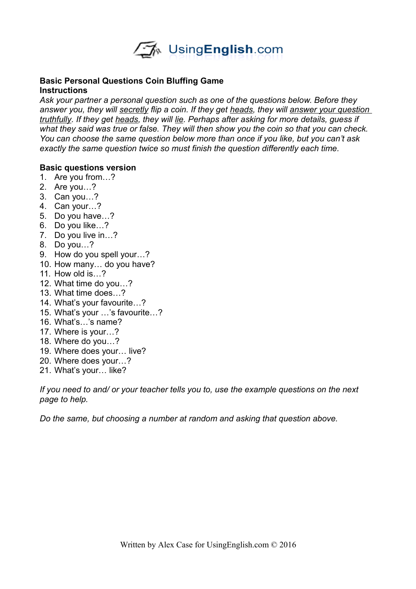

## **Basic Personal Questions Coin Bluffing Game Instructions**

*Ask your partner a personal question such as one of the questions below. Before they answer you, they will secretly flip a coin. If they get heads, they will answer your question truthfully. If they get heads, they will lie. Perhaps after asking for more details, guess if what they said was true or false. They will then show you the coin so that you can check. You can choose the same question below more than once if you like, but you can't ask exactly the same question twice so must finish the question differently each time.* 

## **Basic questions version**

- 1. Are you from…?
- 2. Are you…?
- 3. Can you…?
- 4. Can your…?
- 5. Do you have…?
- 6. Do you like…?
- 7. Do you live in…?
- 8. Do you…?
- 9. How do you spell your…?
- 10. How many… do you have?
- 11. How old is…?
- 12. What time do you…?
- 13. What time does…?
- 14. What's your favourite…?
- 15. What's your …'s favourite…?
- 16. What's…'s name?
- 17. Where is your…?
- 18. Where do you…?
- 19. Where does your… live?
- 20. Where does your…?
- 21. What's your… like?

*If you need to and/ or your teacher tells you to, use the example questions on the next page to help.* 

*Do the same, but choosing a number at random and asking that question above.*